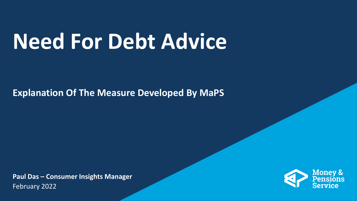## **Need For Debt Advice**

**Explanation Of The Measure Developed By MaPS**

**Paul Das – Consumer Insights Manager** February 2022

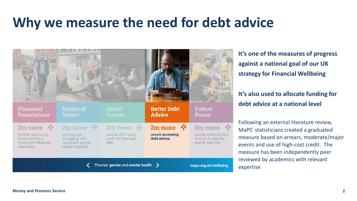## **Why we measure the need for debt advice**



**It's one of the measures of progress against a national goal of our UK strategy for Financial Wellbeing**

#### **It's also used to allocate funding for debt advice at a national level**

Following an external literature review, MaPS' statisticians created a graduated measure based on arrears, moderate/major events and use of high-cost credit. The measure has been independently peer reviewed by academics with relevant expertise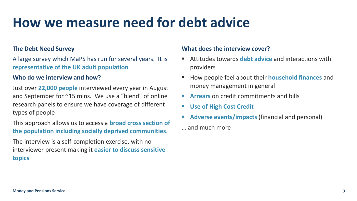## **How we measure need for debt advice**

#### **The Debt Need Survey**

A large survey which MaPS has run for several years. It is **representative of the UK adult population**

#### **Who do we interview and how?**

Just over **22,000 people** interviewed every year in August and September for ~15 mins. We use a "blend" of online research panels to ensure we have coverage of different types of people

This approach allows us to access a **broad cross section of the population including socially deprived communities**.

The interview is a self-completion exercise, with no interviewer present making it **easier to discuss sensitive topics**

#### **What does the interview cover?**

- Attitudes towards **debt advice** and interactions with providers
- How people feel about their **household finances** and money management in general
- **Arrears** on credit commitments and bills
- **Use of High Cost Credit**
- **Adverse events/impacts** (financial and personal)
- … and much more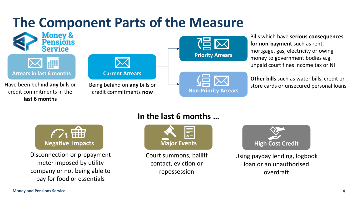## **The Component Parts of the Measure**



#### **In the last 6 months …**



Disconnection or prepayment meter imposed by utility company or not being able to pay for food or essentials



Court summons, bailiff contact, eviction or repossession



Using payday lending, logbook loan or an unauthorised overdraft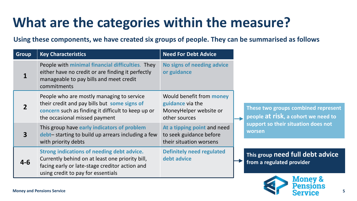## **What are the categories within the measure?**

**Using these components, we have created six groups of people. They can be summarised as follows** 

| <b>Group</b> | <b>Key Characteristics</b>                                                                                                                                                            | <b>Need For Debt Advice</b>                                                                    |                                                                                                                             |
|--------------|---------------------------------------------------------------------------------------------------------------------------------------------------------------------------------------|------------------------------------------------------------------------------------------------|-----------------------------------------------------------------------------------------------------------------------------|
| 1            | People with minimal financial difficulties. They<br>either have no credit or are finding it perfectly<br>manageable to pay bills and meet credit<br>commitments                       | No signs of needing advice<br>or guidance                                                      |                                                                                                                             |
|              | People who are mostly managing to service<br>their credit and pay bills but some signs of<br>concern such as finding it difficult to keep up or<br>the occasional missed payment      | Would benefit from <b>money</b><br>guidance via the<br>MoneyHelper website or<br>other sources | These two groups combined represent<br>people at risk, a cohort we need to<br>support so their situation does not<br>worsen |
| $\mathbf{3}$ | This group have early indicators of problem<br>debt-starting to build up arrears including a few<br>with priority debts                                                               | At a tipping point and need<br>to seek guidance before<br>their situation worsens              |                                                                                                                             |
| $4 - 6$      | Strong indications of needing debt advice.<br>Currently behind on at least one priority bill,<br>facing early or late-stage creditor action and<br>using credit to pay for essentials | <b>Definitely need regulated</b><br>debt advice                                                | This group need full debt advice<br>from a regulated provider                                                               |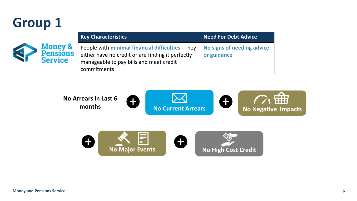## **Group 1**



| <b>Key Characteristics</b>                                                                                                                                      | <b>Need For Debt Advice</b>               |
|-----------------------------------------------------------------------------------------------------------------------------------------------------------------|-------------------------------------------|
| People with minimal financial difficulties. They<br>either have no credit or are finding it perfectly<br>manageable to pay bills and meet credit<br>commitments | No signs of needing advice<br>or guidance |

曲 **No Arrears in Last 6**   $\bullet$ 0 **months No Current Arrears No Negative Impacts**

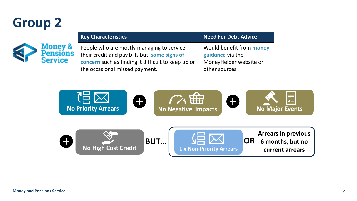## **Group 2**



| <b>Key Characteristics</b>                         | <b>Need For Debt Advice</b>     |
|----------------------------------------------------|---------------------------------|
| People who are mostly managing to service          | Would benefit from <b>money</b> |
| their credit and pay bills but some signs of       | guidance via the                |
| concern such as finding it difficult to keep up or | MoneyHelper website or          |
| the occasional missed payment.                     | other sources                   |

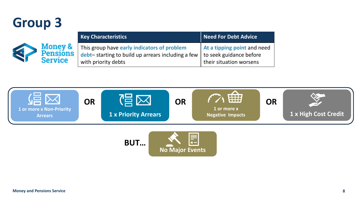## **Group 3**

|                    | <b>Key Characteristics</b>                                | Need For Debt Advice        |
|--------------------|-----------------------------------------------------------|-----------------------------|
| <b>Money &amp;</b> | This group have early indicators of problem               | At a tipping point and need |
| <b>Pensions</b>    | $\vert$ debt-starting to build up arrears including a few | to seek guidance before     |
| <b>Service</b>     | with priority debts                                       | their situation worsens     |

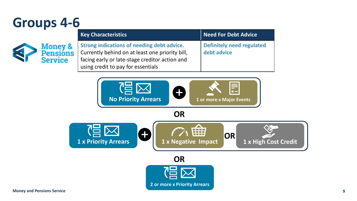## **Groups 4-6**

|                                                         | <b>Key Characteristics</b>                                                                                                                                                            | Need For Debt Advice                            |
|---------------------------------------------------------|---------------------------------------------------------------------------------------------------------------------------------------------------------------------------------------|-------------------------------------------------|
| <b>Money &amp;</b><br><b>Pensions</b><br><b>Service</b> | Strong indications of needing debt advice.<br>Currently behind on at least one priority bill,<br>facing early or late-stage creditor action and<br>using credit to pay for essentials | <b>Definitely need regulated</b><br>debt advice |